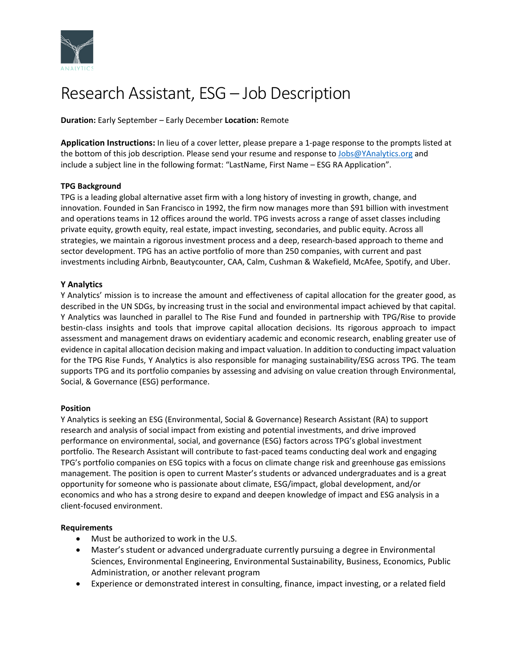

# Research Assistant, ESG – Job Description

**Duration:** Early September – Early December **Location:** Remote

**Application Instructions:** In lieu of a cover letter, please prepare a 1-page response to the prompts listed at the bottom of this job description. Please send your resume and response to [Jobs@YAnalytics.org](mailto:Jobs@YAnalytics.org) and include a subject line in the following format: "LastName, First Name – ESG RA Application".

## **TPG Background**

TPG is a leading global alternative asset firm with a long history of investing in growth, change, and innovation. Founded in San Francisco in 1992, the firm now manages more than \$91 billion with investment and operations teams in 12 offices around the world. TPG invests across a range of asset classes including private equity, growth equity, real estate, impact investing, secondaries, and public equity. Across all strategies, we maintain a rigorous investment process and a deep, research-based approach to theme and sector development. TPG has an active portfolio of more than 250 companies, with current and past investments including Airbnb, Beautycounter, CAA, Calm, Cushman & Wakefield, McAfee, Spotify, and Uber.

## **Y Analytics**

Y Analytics' mission is to increase the amount and effectiveness of capital allocation for the greater good, as described in the UN SDGs, by increasing trust in the social and environmental impact achieved by that capital. Y Analytics was launched in parallel to The Rise Fund and founded in partnership with TPG/Rise to provide bestin-class insights and tools that improve capital allocation decisions. Its rigorous approach to impact assessment and management draws on evidentiary academic and economic research, enabling greater use of evidence in capital allocation decision making and impact valuation. In addition to conducting impact valuation for the TPG Rise Funds, Y Analytics is also responsible for managing sustainability/ESG across TPG. The team supports TPG and its portfolio companies by assessing and advising on value creation through Environmental, Social, & Governance (ESG) performance.

#### **Position**

Y Analytics is seeking an ESG (Environmental, Social & Governance) Research Assistant (RA) to support research and analysis of social impact from existing and potential investments, and drive improved performance on environmental, social, and governance (ESG) factors across TPG's global investment portfolio. The Research Assistant will contribute to fast-paced teams conducting deal work and engaging TPG's portfolio companies on ESG topics with a focus on climate change risk and greenhouse gas emissions management. The position is open to current Master's students or advanced undergraduates and is a great opportunity for someone who is passionate about climate, ESG/impact, global development, and/or economics and who has a strong desire to expand and deepen knowledge of impact and ESG analysis in a client-focused environment.

#### **Requirements**

- Must be authorized to work in the U.S.
- Master's student or advanced undergraduate currently pursuing a degree in Environmental Sciences, Environmental Engineering, Environmental Sustainability, Business, Economics, Public Administration, or another relevant program
- Experience or demonstrated interest in consulting, finance, impact investing, or a related field